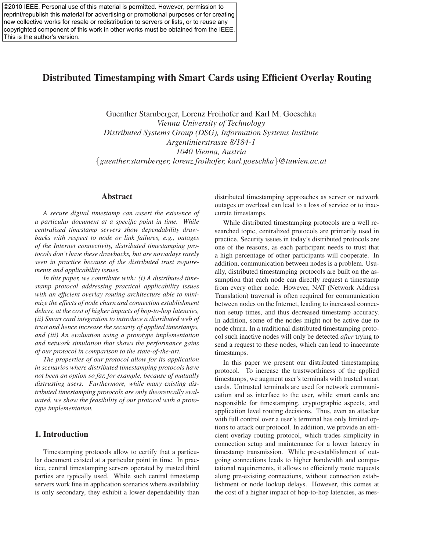©2010 IEEE. Personal use of this material is permitted. However, permission to reprint/republish this material for advertising or promotional purposes or for creating new collective works for resale or redistribution to servers or lists, or to reuse any copyrighted component of this work in other works must be obtained from the IEEE. This is the author's version.

# Distributed Timestamping with Smart Cards using Efficient Overlay Routing

Guenther Starnberger, Lorenz Froihofer and Karl M. Goeschka *Vienna University of Technology Distributed Systems Group (DSG), Information Systems Institute Argentinierstrasse 8/184-1 1040 Vienna, Austria* {*guenther.starnberger, lorenz.froihofer, karl.goeschka*}*@tuwien.ac.at*

### Abstract

*A secure digital timestamp can assert the existence of a particular document at a specific point in time. While centralized timestamp servers show dependability drawbacks with respect to node or link failures, e.g., outages of the Internet connectivity, distributed timestamping protocols don't have these drawbacks, but are nowadays rarely seen in practice because of the distributed trust requirements and applicability issues.*

*In this paper, we contribute with: (i) A distributed timestamp protocol addressing practical applicability issues with an efficient overlay routing architecture able to minimize the effects of node churn and connection establishment delays, at the cost of higher impacts of hop-to-hop latencies, (ii) Smart card integration to introduce a distributed web of trust and hence increase the security of applied timestamps, and (iii) An evaluation using a prototype implementation and network simulation that shows the performance gains of our protocol in comparison to the state-of-the-art.*

*The properties of our protocol allow for its application in scenarios where distributed timestamping protocols have not been an option so far, for example, because of mutually distrusting users. Furthermore, while many existing distributed timestamping protocols are only theoretically evaluated, we show the feasibility of our protocol with a prototype implementation.*

## 1. Introduction

Timestamping protocols allow to certify that a particular document existed at a particular point in time. In practice, central timestamping servers operated by trusted third parties are typically used. While such central timestamp servers work fine in application scenarios where availability is only secondary, they exhibit a lower dependability than distributed timestamping approaches as server or network outages or overload can lead to a loss of service or to inaccurate timestamps.

While distributed timestamping protocols are a well researched topic, centralized protocols are primarily used in practice. Security issues in today's distributed protocols are one of the reasons, as each participant needs to trust that a high percentage of other participants will cooperate. In addition, communication between nodes is a problem. Usually, distributed timestamping protocols are built on the assumption that each node can directly request a timestamp from every other node. However, NAT (Network Address Translation) traversal is often required for communication between nodes on the Internet, leading to increased connection setup times, and thus decreased timestamp accuracy. In addition, some of the nodes might not be active due to node churn. In a traditional distributed timestamping protocol such inactive nodes will only be detected *after* trying to send a request to these nodes, which can lead to inaccurate timestamps.

In this paper we present our distributed timestamping protocol. To increase the trustworthiness of the applied timestamps, we augment user's terminals with trusted smart cards. Untrusted terminals are used for network communication and as interface to the user, while smart cards are responsible for timestamping, cryptographic aspects, and application level routing decisions. Thus, even an attacker with full control over a user's terminal has only limited options to attack our protocol. In addition, we provide an efficient overlay routing protocol, which trades simplicity in connection setup and maintenance for a lower latency in timestamp transmission. While pre-establishment of outgoing connections leads to higher bandwidth and computational requirements, it allows to efficiently route requests along pre-existing connections, without connection establishment or node lookup delays. However, this comes at the cost of a higher impact of hop-to-hop latencies, as mes-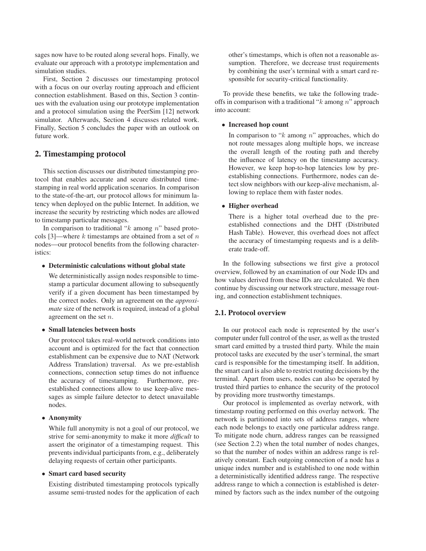sages now have to be routed along several hops. Finally, we evaluate our approach with a prototype implementation and simulation studies.

First, Section 2 discusses our timestamping protocol with a focus on our overlay routing approach and efficient connection establishment. Based on this, Section 3 continues with the evaluation using our prototype implementation and a protocol simulation using the PeerSim [12] network simulator. Afterwards, Section 4 discusses related work. Finally, Section 5 concludes the paper with an outlook on future work.

## 2. Timestamping protocol

This section discusses our distributed timestamping protocol that enables accurate and secure distributed timestamping in real world application scenarios. In comparison to the state-of-the-art, our protocol allows for minimum latency when deployed on the public Internet. In addition, we increase the security by restricting which nodes are allowed to timestamp particular messages.

In comparison to traditional " $k$  among  $n$ " based protocols [3]—where  $k$  timestamps are obtained from a set of  $n$ nodes—our protocol benefits from the following characteristics:

### • Deterministic calculations without global state

We deterministically assign nodes responsible to timestamp a particular document allowing to subsequently verify if a given document has been timestamped by the correct nodes. Only an agreement on the *approximate* size of the network is required, instead of a global agreement on the set n.

#### • Small latencies between hosts

Our protocol takes real-world network conditions into account and is optimized for the fact that connection establishment can be expensive due to NAT (Network Address Translation) traversal. As we pre-establish connections, connection setup times do not influence the accuracy of timestamping. Furthermore, preestablished connections allow to use keep-alive messages as simple failure detector to detect unavailable nodes.

### • Anonymity

While full anonymity is not a goal of our protocol, we strive for semi-anonymity to make it more *difficult* to assert the originator of a timestamping request. This prevents individual participants from, e.g., deliberately delaying requests of certain other participants.

#### • Smart card based security

Existing distributed timestamping protocols typically assume semi-trusted nodes for the application of each other's timestamps, which is often not a reasonable assumption. Therefore, we decrease trust requirements by combining the user's terminal with a smart card responsible for security-critical functionality.

To provide these benefits, we take the following tradeoffs in comparison with a traditional " $k$  among  $n$ " approach into account:

#### • Increased hop count

In comparison to " $k$  among  $n$ " approaches, which do not route messages along multiple hops, we increase the overall length of the routing path and thereby the influence of latency on the timestamp accuracy. However, we keep hop-to-hop latencies low by preestablishing connections. Furthermore, nodes can detect slow neighbors with our keep-alive mechanism, allowing to replace them with faster nodes.

## • Higher overhead

There is a higher total overhead due to the preestablished connections and the DHT (Distributed Hash Table). However, this overhead does not affect the accuracy of timestamping requests and is a deliberate trade-off.

In the following subsections we first give a protocol overview, followed by an examination of our Node IDs and how values derived from these IDs are calculated. We then continue by discussing our network structure, message routing, and connection establishment techniques.

## 2.1. Protocol overview

In our protocol each node is represented by the user's computer under full control of the user, as well as the trusted smart card emitted by a trusted third party. While the main protocol tasks are executed by the user's terminal, the smart card is responsible for the timestamping itself. In addition, the smart card is also able to restrict routing decisions by the terminal. Apart from users, nodes can also be operated by trusted third parties to enhance the security of the protocol by providing more trustworthy timestamps.

Our protocol is implemented as overlay network, with timestamp routing performed on this overlay network. The network is partitioned into sets of address ranges, where each node belongs to exactly one particular address range. To mitigate node churn, address ranges can be reassigned (see Section 2.2) when the total number of nodes changes, so that the number of nodes within an address range is relatively constant. Each outgoing connection of a node has a unique index number and is established to one node within a deterministically identified address range. The respective address range to which a connection is established is determined by factors such as the index number of the outgoing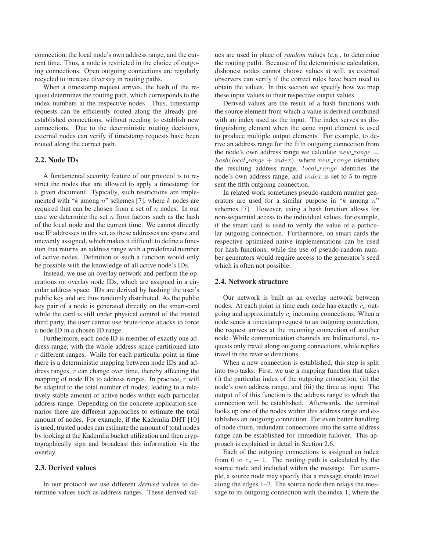connection, the local node's own address range, and the current time. Thus, a node is restricted in the choice of outgoing connections. Open outgoing connections are regularly recycled to increase diversity in routing paths.

When a timestamp request arrives, the hash of the request determines the routing path, which corresponds to the index numbers at the respective nodes. Thus, timestamp requests can be efficiently routed along the already preestablished connections, without needing to establish new connections. Due to the deterministic routing decisions, external nodes can verify if timestamp requests have been routed along the correct path.

## 2.2. Node IDs

A fundamental security feature of our protocol is to restrict the nodes that are allowed to apply a timestamp for a given document. Typically, such restrictions are implemented with " $k$  among  $n$ " schemes [7], where  $k$  nodes are required that can be chosen from a set of  $n$  nodes. In our case we determine the set  $n$  from factors such as the hash of the local node and the current time. We cannot directly use IP addresses in this set, as these addresses are sparse and unevenly assigned, which makes it difficult to define a function that returns an address range with a predefined number of active nodes. Definition of such a function would only be possible with the knowledge of all active node's IDs.

Instead, we use an overlay network and perform the operations on overlay node IDs, which are assigned in a circular address space. IDs are derived by hashing the user's public key and are thus randomly distributed. As the public key pair of a node is generated directly on the smart-card while the card is still under physical control of the trusted third party, the user cannot use brute-force attacks to force a node ID in a chosen ID range.

Furthermore, each node ID is member of exactly one address range, with the whole address space partitioned into  $r$  different ranges. While for each particular point in time there is a deterministic mapping between node IDs and address ranges,  $r$  can change over time, thereby affecting the mapping of node IDs to address ranges. In practice,  $r$  will be adapted to the total number of nodes, leading to a relatively stable amount of active nodes within each particular address range. Depending on the concrete application scenarios there are different approaches to estimate the total amount of nodes. For example, if the Kademlia DHT [10] is used, trusted nodes can estimate the amount of total nodes by looking at the Kademlia bucket utilization and then cryptographically sign and broadcast this information via the overlay.

#### 2.3. Derived values

In our protocol we use different *derived* values to determine values such as address ranges. These derived values are used in place of *random* values (e.g., to determine the routing path). Because of the deterministic calculation, dishonest nodes cannot choose values at will, as external observers can verify if the correct rules have been used to obtain the values. In this section we specify how we map these input values to their respective output values.

Derived values are the result of a hash functions with the source element from which a value is derived combined with an index used as the input. The index serves as distinguishing element when the same input element is used to produce multiple output elements. For example, to derive an address range for the fifth outgoing connection from the node's own address range we calculate  $new\_range =$ hash(local\_range + index), where new\_range identifies the resulting address range, local\_range identifies the node's own address range, and index is set to 5 to represent the fifth outgoing connection.

In related work sometimes pseudo-random number generators are used for a similar purpose in " $k$  among  $n$ " schemes [7]. However, using a hash function allows for non-sequential access to the individual values, for example, if the smart card is used to verify the value of a particular outgoing connection. Furthermore, on smart cards the respective optimized native implementations can be used for hash functions, while the use of pseudo-random number generators would require access to the generator's seed which is often not possible.

#### 2.4. Network structure

Our network is built as an overlay network between nodes. At each point in time each node has exactly  $c<sub>o</sub>$  outgoing and approximately  $c_i$  incoming connections. When a node sends a timestamp request to an outgoing connection, the request arrives at the incoming connection of another node. While communication channels are bidirectional, requests only travel along outgoing connections, while replies travel in the reverse directions.

When a new connection is established, this step is split into two tasks: First, we use a mapping function that takes (i) the particular index of the outgoing connection, (ii) the node's own address range, and (iii) the time as input. The output of of this function is the address range to which the connection will be established. Afterwards, the terminal looks up one of the nodes within this address range and establishes an outgoing connection. For even better handling of node churn, redundant connections into the same address range can be established for immediate failover. This approach is explained in detail in Section 2.6.

Each of the outgoing connections is assigned an index from 0 to  $c<sub>o</sub> - 1$ . The routing path is calculated by the source node and included within the message. For example, a source node may specify that a message should travel along the edges 1–2. The source node then relays the message to its outgoing connection with the index 1, where the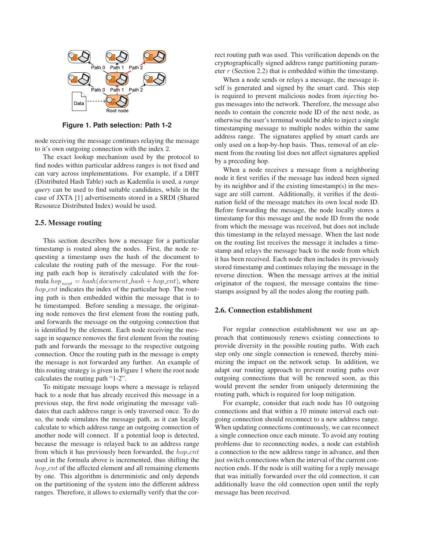

**Figure 1. Path selection: Path 1-2**

node receiving the message continues relaying the message to it's own outgoing connection with the index 2.

The exact lookup mechanism used by the protocol to find nodes within particular address ranges is not fixed and can vary across implementations. For example, if a DHT (Distributed Hash Table) such as Kademlia is used, a *range query* can be used to find suitable candidates, while in the case of JXTA [1] advertisements stored in a SRDI (Shared Resource Distributed Index) would be used.

#### 2.5. Message routing

This section describes how a message for a particular timestamp is routed along the nodes. First, the node requesting a timestamp uses the hash of the document to calculate the routing path of the message. For the routing path each hop is iteratively calculated with the formula  $hop_{next} = hash(document\_hash + hop\_cnt)$ , where  $hop\_cnt$  indicates the index of the particular hop. The routing path is then embedded within the message that is to be timestamped. Before sending a message, the originating node removes the first element from the routing path, and forwards the message on the outgoing connection that is identified by the element. Each node receiving the message in sequence removes the first element from the routing path and forwards the message to the respective outgoing connection. Once the routing path in the message is empty the message is not forwarded any further. An example of this routing strategy is given in Figure 1 where the root node calculates the routing path "1-2".

To mitigate message loops where a message is relayed back to a node that has already received this message in a previous step, the first node originating the message validates that each address range is only traversed once. To do so, the node simulates the message path, as it can locally calculate to which address range an outgoing connection of another node will connect. If a potential loop is detected, because the message is relayed back to an address range from which it has previously been forwarded, the  $hop\_cnt$ used in the formula above is incremented, thus shifting the  $hop\_cnt$  of the affected element and all remaining elements by one. This algorithm is deterministic and only depends on the partitioning of the system into the different address ranges. Therefore, it allows to externally verify that the correct routing path was used. This verification depends on the cryptographically signed address range partitioning parameter r (Section 2.2) that is embedded within the timestamp.

When a node sends or relays a message, the message itself is generated and signed by the smart card. This step is required to prevent malicious nodes from *injecting* bogus messages into the network. Therefore, the message also needs to contain the concrete node ID of the next node, as otherwise the user's terminal would be able to inject a single timestamping message to multiple nodes within the same address range. The signatures applied by smart cards are only used on a hop-by-hop basis. Thus, removal of an element from the routing list does not affect signatures applied by a preceding hop.

When a node receives a message from a neighboring node it first verifies if the message has indeed been signed by its neighbor and if the existing timestamp(s) in the message are still current. Additionally, it verifies if the destination field of the message matches its own local node ID. Before forwarding the message, the node locally stores a timestamp for this message and the node ID from the node from which the message was received, but does not include this timestamp in the relayed message. When the last node on the routing list receives the message it includes a timestamp and relays the message back to the node from which it has been received. Each node then includes its previously stored timestamp and continues relaying the message in the reverse direction. When the message arrives at the initial originator of the request, the message contains the timestamps assigned by all the nodes along the routing path.

### 2.6. Connection establishment

For regular connection establishment we use an approach that continuously renews existing connections to provide diversity in the possible routing paths. With each step only one single connection is renewed, thereby minimizing the impact on the network setup. In addition, we adapt our routing approach to prevent routing paths over outgoing connections that will be renewed soon, as this would prevent the sender from uniquely determining the routing path, which is required for loop mitigation.

For example, consider that each node has 10 outgoing connections and that within a 10 minute interval each outgoing connection should reconnect to a new address range. When updating connections continuously, we can reconnect a single connection once each minute. To avoid any routing problems due to reconnecting nodes, a node can establish a connection to the new address range in advance, and then just switch connections when the interval of the current connection ends. If the node is still waiting for a reply message that was initially forwarded over the old connection, it can additionally leave the old connection open until the reply message has been received.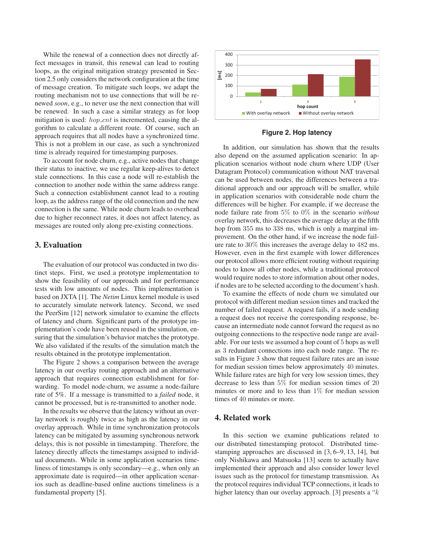While the renewal of a connection does not directly affect messages in transit, this renewal can lead to routing loops, as the original mitigation strategy presented in Section 2.5 only considers the network configuration at the time of message creation. To mitigate such loops, we adapt the routing mechanism not to use connections that will be renewed *soon*, e.g., to never use the next connection that will be renewed. In such a case a similar strategy as for loop mitigation is used:  $hop\_cnt$  is incremented, causing the algorithm to calculate a different route. Of course, such an approach requires that all nodes have a synchronized time. This is not a problem in our case, as such a synchronized time is already required for timestamping purposes.

To account for node churn, e.g., active nodes that change their status to inactive, we use regular keep-alives to detect stale connections. In this case a node will re-establish the connection to another node within the same address range. Such a connection establishment cannot lead to a routing loop, as the address range of the old connection and the new connection is the same. While node churn leads to overhead due to higher reconnect rates, it does not affect latency, as messages are routed only along pre-existing connections.

## 3. Evaluation

The evaluation of our protocol was conducted in two distinct steps. First, we used a prototype implementation to show the feasibility of our approach and for performance tests with low amounts of nodes. This implementation is based on JXTA [1]. The *Netim* Linux kernel module is used to accurately simulate network latency. Second, we used the PeerSim [12] network simulator to examine the effects of latency and churn. Significant parts of the prototype implementation's code have been reused in the simulation, ensuring that the simulation's behavior matches the prototype. We also validated if the results of the simulation match the results obtained in the prototype implementation.

The Figure 2 shows a comparison between the average latency in our overlay routing approach and an alternative approach that requires connection establishment for forwarding. To model node-churn, we assume a node-failure rate of 5%. If a message is transmitted to a *failed* node, it cannot be processed, but is re-transmitted to another node.

In the results we observe that the latency without an overlay network is roughly twice as high as the latency in our overlay approach. While in time synchronization protocols latency can be mitigated by assuming synchronous network delays, this is not possible in timestamping. Therefore, the latency directly affects the timestamps assigned to individual documents. While in some application scenarios timeliness of timestamps is only secondary—e.g., when only an approximate date is required—in other application scenarios such as deadline-based online auctions timeliness is a fundamental property [5].



**Figure 2. Hop latency**

In addition, our simulation has shown that the results also depend on the assumed application scenario: In application scenarios without node churn where UDP (User Datagram Protocol) communication without NAT traversal can be used between nodes, the differences between a traditional approach and our approach will be smaller, while in application scenarios with considerable node churn the differences will be higher. For example, if we decrease the node failure rate from 5% to 0% in the scenario *without* overlay network, this decreases the average delay at the fifth hop from 355 ms to 338 ms, which is only a marginal improvement. On the other hand, if we increase the node failure rate to 30% this increases the average delay to 482 ms. However, even in the first example with lower differences our protocol allows more efficient routing without requiring nodes to know all other nodes, while a traditional protocol would require nodes to store information about other nodes, if nodes are to be selected according to the document's hash.

To examine the effects of node churn we simulated our protocol with different median session times and tracked the number of failed request. A request fails, if a node sending a request does not receive the corresponding response, because an intermediate node cannot forward the request as no outgoing connections to the respective node range are available. For our tests we assumed a hop count of 5 hops as well as 3 redundant connections into each node range. The results in Figure 3 show that request failure rates are an issue for median session times below approximately 40 minutes. While failure rates are high for very low session times, they decrease to less than 5% for median session times of 20 minutes or more and to less than  $1\%$  for median session times of 40 minutes or more.

## 4. Related work

In this section we examine publications related to our distributed timestamping protocol. Distributed timestamping approaches are discussed in [3, 6–9, 13, 14], but only Nishikawa and Matsuoka [13] seem to actually have implemented their approach and also consider lower level issues such as the protocol for timestamp transmission. As the protocol requires individual TCP connections, it leads to higher latency than our overlay approach. [3] presents a " $k$